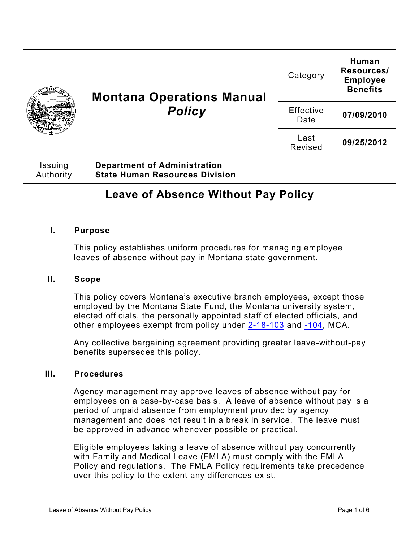|                                            | <b>Montana Operations Manual</b><br><b>Policy</b>                            | Category          | Human<br>Resources/<br><b>Employee</b><br><b>Benefits</b> |
|--------------------------------------------|------------------------------------------------------------------------------|-------------------|-----------------------------------------------------------|
|                                            |                                                                              | Effective<br>Date | 07/09/2010                                                |
|                                            |                                                                              | Last<br>Revised   | 09/25/2012                                                |
| Issuing<br>Authority                       | <b>Department of Administration</b><br><b>State Human Resources Division</b> |                   |                                                           |
| <b>Leave of Absence Without Pay Policy</b> |                                                                              |                   |                                                           |

#### **I. Purpose**

This policy establishes uniform procedures for managing employee leaves of absence without pay in Montana state government.

#### **II. Scope**

This policy covers Montana's executive branch employees, except those employed by the Montana State Fund, the Montana university system, elected officials, the personally appointed staff of elected officials, and other employees exempt from policy under [2-18-103](https://leg.mt.gov/bills/mca/title_0020/chapter_0180/part_0010/section_0030/0020-0180-0010-0030.html) and [-104,](https://leg.mt.gov/bills/mca/title_0020/chapter_0180/part_0010/section_0040/0020-0180-0010-0040.html) MCA.

Any collective bargaining agreement providing greater leave-without-pay benefits supersedes this policy.

#### **III. Procedures**

Agency management may approve leaves of absence without pay for employees on a case-by-case basis. A leave of absence without pay is a period of unpaid absence from employment provided by agency management and does not result in a break in service. The leave must be approved in advance whenever possible or practical.

Eligible employees taking a leave of absence without pay concurrently with Family and Medical Leave (FMLA) must comply with the FMLA Policy and regulations. The FMLA Policy requirements take precedence over this policy to the extent any differences exist.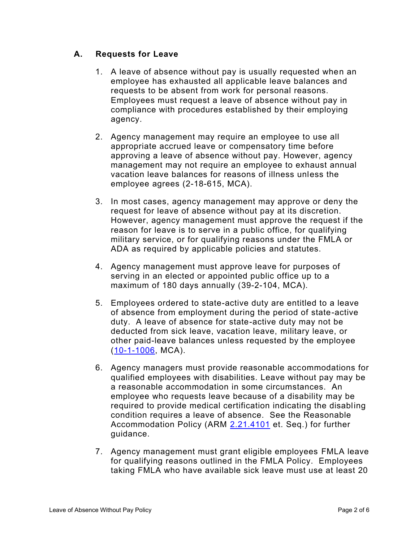# **A. Requests for Leave**

- 1. A leave of absence without pay is usually requested when an employee has exhausted all applicable leave balances and requests to be absent from work for personal reasons. Employees must request a leave of absence without pay in compliance with procedures established by their employing agency.
- 2. Agency management may require an employee to use all appropriate accrued leave or compensatory time before approving a leave of absence without pay. However, agency management may not require an employee to exhaust annual vacation leave balances for reasons of illness unless the employee agrees [\(2-18-615,](https://leg.mt.gov/bills/mca/title_0020/chapter_0180/part_0060/section_0150/0020-0180-0060-0150.html) MCA).
- 3. In most cases, agency management may approve or deny the request for leave of absence without pay at its discretion. However, agency management must approve the request if the reason for leave is to serve in a public office, for qualifying military service, or for qualifying reasons under the FMLA or ADA as required by applicable policies and statutes.
- 4. Agency management must approve leave for purposes of serving in an elected or appointed public office up to a maximum of 180 days annually [\(39-2-104,](https://leg.mt.gov/bills/mca/title_0390/chapter_0020/part_0010/section_0040/0390-0020-0010-0040.html) MCA).
- 5. Employees ordered to state-active duty are entitled to a leave of absence from employment during the period of state-active duty. A leave of absence for state-active duty may not be deducted from sick leave, vacation leave, military leave, or other paid-leave balances unless requested by the employee [\(10-1-1006,](https://leg.mt.gov/bills/mca/title_0100/chapter_0010/part_0100/section_0060/0100-0010-0100-0060.html) MCA).
- 6. Agency managers must provide reasonable accommodations for qualified employees with disabilities. Leave without pay may be a reasonable accommodation in some circumstances. An employee who requests leave because of a disability may be required to provide medical certification indicating the disabling condition requires a leave of absence. See the Reasonable Accommodation Policy (ARM [2.21.4101](http://www.mtrules.org/gateway/RuleNo.asp?RN=2%2E21%2E4101) et. Seq.) for further guidance.
- 7. Agency management must grant eligible employees FMLA leave for qualifying reasons outlined in the FMLA Policy. Employees taking FMLA who have available sick leave must use at least 20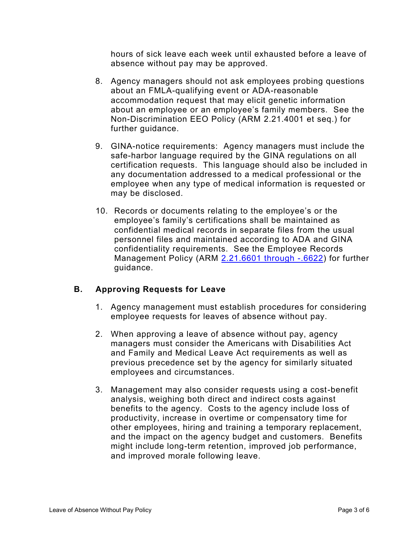hours of sick leave each week until exhausted before a leave of absence without pay may be approved.

- 8. Agency managers should not ask employees probing questions about an FMLA-qualifying event or ADA-reasonable accommodation request that may elicit genetic information about an employee or an employee's family members. See the Non-Discrimination EEO Policy (ARM [2.21.4001](http://www.mtrules.org/gateway/RuleNo.asp?RN=2%2E21%2E4001) et seq.) for further guidance.
- 9. GINA-notice requirements: Agency managers must include the safe-harbor language required by the GINA regulations on all certification requests. This language should also be included in any documentation addressed to a medical professional or the employee when any type of medical information is requested or may be disclosed.
- 10. Records or documents relating to the employee's or the employee's family's certifications shall be maintained as confidential medical records in separate files from the usual personnel files and maintained according to ADA and GINA confidentiality requirements. See the Employee Records Management Policy (ARM [2.21.6601 through -.6622\)](http://www.mtrules.org/gateway/Subchapterhome.asp?scn=2%2E21.66) for further guidance.

# **B. Approving Requests for Leave**

- 1. Agency management must establish procedures for considering employee requests for leaves of absence without pay.
- 2. When approving a leave of absence without pay, agency managers must consider the Americans with Disabilities Act and Family and Medical Leave Act requirements as well as previous precedence set by the agency for similarly situated employees and circumstances.
- 3. Management may also consider requests using a cost-benefit analysis, weighing both direct and indirect costs against benefits to the agency. Costs to the agency include loss of productivity, increase in overtime or compensatory time for other employees, hiring and training a temporary replacement, and the impact on the agency budget and customers. Benefits might include long-term retention, improved job performance, and improved morale following leave.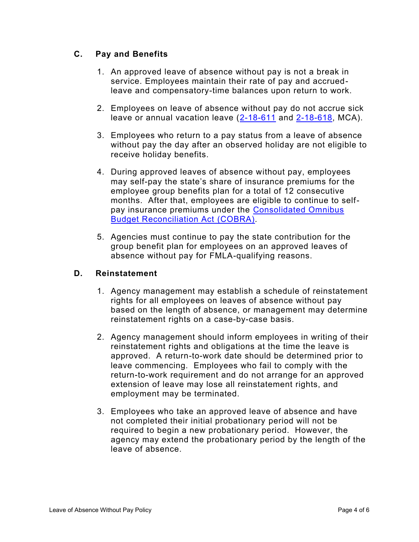# **C. Pay and Benefits**

- 1. An approved leave of absence without pay is not a break in service. Employees maintain their rate of pay and accruedleave and compensatory-time balances upon return to work.
- 2. Employees on leave of absence without pay do not accrue sick leave or annual vacation leave [\(2-18-611](https://leg.mt.gov/bills/mca/title_0020/chapter_0180/part_0060/section_0110/0020-0180-0060-0110.html) and [2-18-618,](https://leg.mt.gov/bills/mca/title_0020/chapter_0180/part_0060/section_0180/0020-0180-0060-0180.html) MCA).
- 3. Employees who return to a pay status from a leave of absence without pay the day after an observed holiday are not eligible to receive holiday benefits.
- 4. During approved leaves of absence without pay, employees may self-pay the state's share of insurance premiums for the employee group benefits plan for a total of 12 consecutive months. After that, employees are eligible to continue to selfpay insurance premiums under the [Consolidated Omnibus](http://www.dol.gov/dol/topic/health-plans/cobra.htm)  [Budget Reconciliation Act](http://www.dol.gov/dol/topic/health-plans/cobra.htm) (COBRA).
- 5. Agencies must continue to pay the state contribution for the group benefit plan for employees on an approved leaves of absence without pay for FMLA-qualifying reasons.

## **D. Reinstatement**

- 1. Agency management may establish a schedule of reinstatement rights for all employees on leaves of absence without pay based on the length of absence, or management may determine reinstatement rights on a case-by-case basis.
- 2. Agency management should inform employees in writing of their reinstatement rights and obligations at the time the leave is approved. A return-to-work date should be determined prior to leave commencing. Employees who fail to comply with the return-to-work requirement and do not arrange for an approved extension of leave may lose all reinstatement rights, and employment may be terminated.
- 3. Employees who take an approved leave of absence and have not completed their initial probationary period will not be required to begin a new probationary period. However, the agency may extend the probationary period by the length of the leave of absence.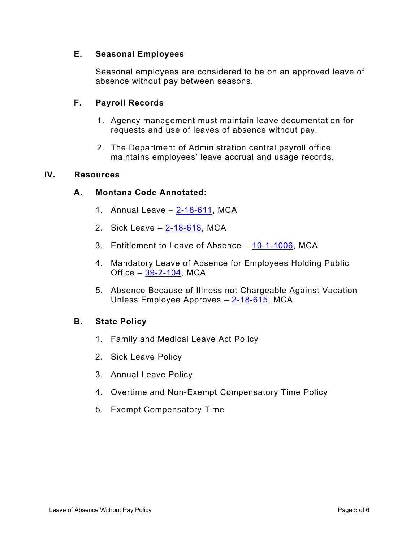## **E. Seasonal Employees**

Seasonal employees are considered to be on an approved leave of absence without pay between seasons.

# **F. Payroll Records**

- 1. Agency management must maintain leave documentation for requests and use of leaves of absence without pay.
- 2. The Department of Administration central payroll office maintains employees' leave accrual and usage records.

## **IV. Resources**

## **A. Montana Code Annotated:**

- 1. Annual Leave  $-2-18-611$ , MCA
- 2. Sick Leave [2-18-618,](https://leg.mt.gov/bills/mca/title_0020/chapter_0180/part_0060/section_0180/0020-0180-0060-0180.html) MCA
- 3. Entitlement to Leave of Absence [10-1-1006,](https://leg.mt.gov/bills/mca/title_0100/chapter_0010/part_0100/section_0060/0100-0010-0100-0060.html) MCA
- 4. Mandatory Leave of Absence for Employees Holding Public Office  $-39-2-104$ , MCA
- 5. Absence Because of Illness not Chargeable Against Vacation Unless Employee Approves - [2-18-615,](https://leg.mt.gov/bills/mca/title_0020/chapter_0180/part_0060/section_0150/0020-0180-0060-0150.html) MCA

## **B. State Policy**

- 1. Family and Medical Leave Act Policy
- 2. Sick Leave Policy
- 3. Annual Leave Policy
- 4. Overtime and Non-Exempt Compensatory Time Policy
- 5. Exempt Compensatory Time